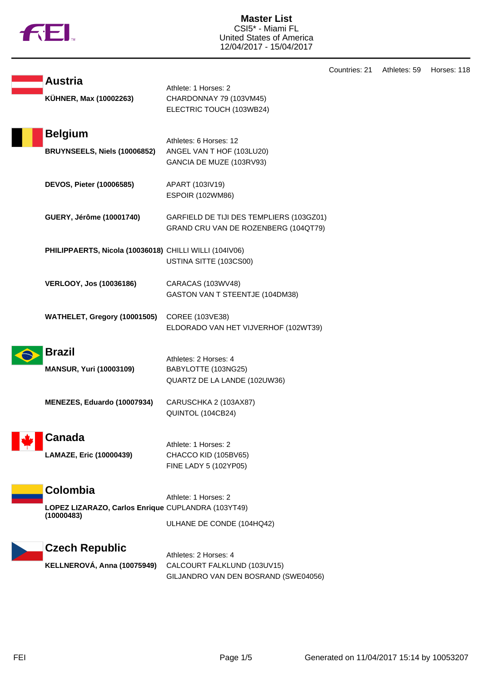

**Master List** CSI5\* - Miami FL United States of America 12/04/2017 - 15/04/2017

|                                                                                     |                                                                                              | Countries: 21 | A |
|-------------------------------------------------------------------------------------|----------------------------------------------------------------------------------------------|---------------|---|
| <b>Austria</b><br>KÜHNER, Max (10002263)                                            | Athlete: 1 Horses: 2<br>CHARDONNAY 79 (103VM45)<br>ELECTRIC TOUCH (103WB24)                  |               |   |
| <b>Belgium</b><br>BRUYNSEELS, Niels (10006852)                                      | Athletes: 6 Horses: 12<br>ANGEL VAN T HOF (103LU20)<br>GANCIA DE MUZE (103RV93)              |               |   |
| DEVOS, Pieter (10006585)                                                            | APART (103IV19)<br><b>ESPOIR (102WM86)</b>                                                   |               |   |
| GUERY, Jérôme (10001740)                                                            | GARFIELD DE TIJI DES TEMPLIERS (103GZ01)<br>GRAND CRU VAN DE ROZENBERG (104QT79)             |               |   |
| PHILIPPAERTS, Nicola (10036018) CHILLI WILLI (104IV06)                              | USTINA SITTE (103CS00)                                                                       |               |   |
| <b>VERLOOY, Jos (10036186)</b>                                                      | CARACAS (103WV48)<br>GASTON VAN T STEENTJE (104DM38)                                         |               |   |
| WATHELET, Gregory (10001505)                                                        | COREE (103VE38)<br>ELDORADO VAN HET VIJVERHOF (102WT39)                                      |               |   |
| <b>Brazil</b><br><b>MANSUR, Yuri (10003109)</b>                                     | Athletes: 2 Horses: 4<br>BABYLOTTE (103NG25)<br>QUARTZ DE LA LANDE (102UW36)                 |               |   |
| MENEZES, Eduardo (10007934)                                                         | CARUSCHKA 2 (103AX87)<br>QUINTOL (104CB24)                                                   |               |   |
| <b>Canada</b><br>LAMAZE, Eric (10000439)                                            | Athlete: 1 Horses: 2<br>CHACCO KID (105BV65)<br>FINE LADY 5 (102YP05)                        |               |   |
| <b>Colombia</b><br>LOPEZ LIZARAZO, Carlos Enrique CUPLANDRA (103YT49)<br>(10000483) | Athlete: 1 Horses: 2<br>ULHANE DE CONDE (104HQ42)                                            |               |   |
| <b>Czech Republic</b><br>KELLNEROVÁ, Anna (10075949)                                | Athletes: 2 Horses: 4<br>CALCOURT FALKLUND (103UV15)<br>GILJANDRO VAN DEN BOSRAND (SWE04056) |               |   |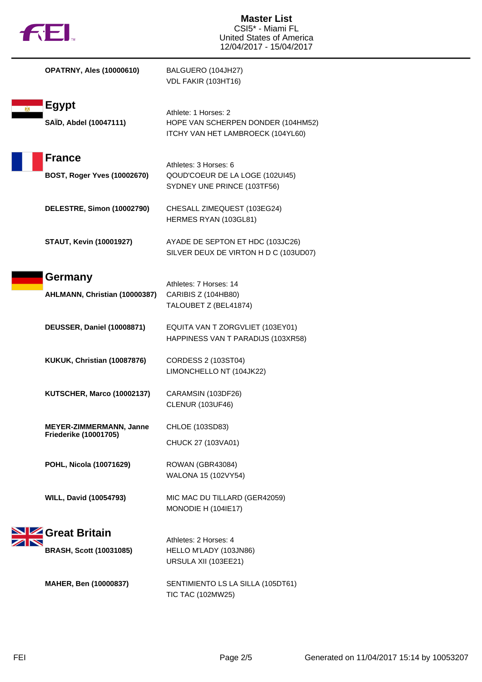

| <b>OPATRNY, Ales (10000610)</b>                                | BALGUERO (104JH27)<br>VDL FAKIR (103HT16)                                                       |
|----------------------------------------------------------------|-------------------------------------------------------------------------------------------------|
| <b>Egypt</b><br>SAÏD, Abdel (10047111)                         | Athlete: 1 Horses: 2<br>HOPE VAN SCHERPEN DONDER (104HM52)<br>ITCHY VAN HET LAMBROECK (104YL60) |
| <b>France</b><br>BOST, Roger Yves (10002670)                   | Athletes: 3 Horses: 6<br>QOUD'COEUR DE LA LOGE (102UI45)<br>SYDNEY UNE PRINCE (103TF56)         |
| DELESTRE, Simon (10002790)                                     | CHESALL ZIMEQUEST (103EG24)<br>HERMES RYAN (103GL81)                                            |
| <b>STAUT, Kevin (10001927)</b>                                 | AYADE DE SEPTON ET HDC (103JC26)<br>SILVER DEUX DE VIRTON H D C (103UD07)                       |
| Germany<br>AHLMANN, Christian (10000387)                       | Athletes: 7 Horses: 14<br>CARIBIS Z (104HB80)<br>TALOUBET Z (BEL41874)                          |
| <b>DEUSSER, Daniel (10008871)</b>                              | EQUITA VAN T ZORGVLIET (103EY01)<br>HAPPINESS VAN T PARADIJS (103XR58)                          |
| KUKUK, Christian (10087876)                                    | CORDESS 2 (103ST04)<br>LIMONCHELLO NT (104JK22)                                                 |
| <b>KUTSCHER, Marco (10002137)</b>                              | CARAMSIN (103DF26)<br><b>CLENUR (103UF46)</b>                                                   |
| <b>MEYER-ZIMMERMANN, Janne</b><br><b>Friederike (10001705)</b> | CHLOE (103SD83)<br>CHUCK 27 (103VA01)                                                           |
| POHL, Nicola (10071629)                                        | ROWAN (GBR43084)<br>WALONA 15 (102VY54)                                                         |
| <b>WILL, David (10054793)</b>                                  | MIC MAC DU TILLARD (GER42059)<br>MONODIE H (104IE17)                                            |
| <b>SIZ</b> Great Britain<br><b>BRASH, Scott (10031085)</b>     | Athletes: 2 Horses: 4<br>HELLO M'LADY (103JN86)<br>URSULA XII (103EE21)                         |
| MAHER, Ben (10000837)                                          | SENTIMIENTO LS LA SILLA (105DT61)                                                               |

TIC TAC (102MW25)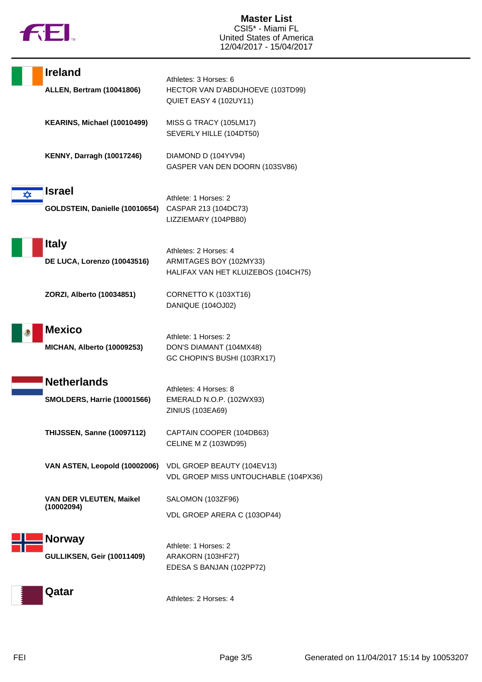

|   | <b>Ireland</b>                                           | Athletes: 3 Horses: 6                                                                   |
|---|----------------------------------------------------------|-----------------------------------------------------------------------------------------|
|   | <b>ALLEN, Bertram (10041806)</b>                         | HECTOR VAN D'ABDIJHOEVE (103TD99)<br>QUIET EASY 4 (102UY11)                             |
|   | KEARINS, Michael (10010499)                              | MISS G TRACY (105LM17)<br>SEVERLY HILLE (104DT50)                                       |
|   | <b>KENNY, Darragh (10017246)</b>                         | DIAMOND D (104YV94)<br>GASPER VAN DEN DOORN (103SV86)                                   |
| ϫ | <b>Israel</b><br>GOLDSTEIN, Danielle (10010654)          | Athlete: 1 Horses: 2<br>CASPAR 213 (104DC73)<br>LIZZIEMARY (104PB80)                    |
|   | <b>Italy</b><br>DE LUCA, Lorenzo (10043516)              | Athletes: 2 Horses: 4<br>ARMITAGES BOY (102MY33)<br>HALIFAX VAN HET KLUIZEBOS (104CH75) |
|   | ZORZI, Alberto (10034851)                                | CORNETTO K (103XT16)<br>DANIQUE (104OJ02)                                               |
|   | <b>Mexico</b><br><b>MICHAN, Alberto (10009253)</b>       | Athlete: 1 Horses: 2<br>DON'S DIAMANT (104MX48)<br>GC CHOPIN'S BUSHI (103RX17)          |
|   | <b>Netherlands</b><br><b>SMOLDERS, Harrie (10001566)</b> | Athletes: 4 Horses: 8<br>EMERALD N.O.P. (102WX93)<br>ZINIUS (103EA69)                   |
|   | <b>THIJSSEN, Sanne (10097112)</b>                        | CAPTAIN COOPER (104DB63)<br><b>CELINE M Z (103WD95)</b>                                 |
|   | VAN ASTEN, Leopold (10002006)                            | VDL GROEP BEAUTY (104EV13)<br>VDL GROEP MISS UNTOUCHABLE (104PX36)                      |
|   | <b>VAN DER VLEUTEN, Maikel</b><br>(10002094)             | SALOMON (103ZF96)<br>VDL GROEP ARERA C (103OP44)                                        |
|   | Norway<br><b>GULLIKSEN, Geir (10011409)</b>              | Athlete: 1 Horses: 2<br>ARAKORN (103HF27)<br>EDESA S BANJAN (102PP72)                   |
|   | Qatar                                                    | Athletes: 2 Horses: 4                                                                   |

FEI Page 3/5 Generated on 11/04/2017 15:14 by 10053207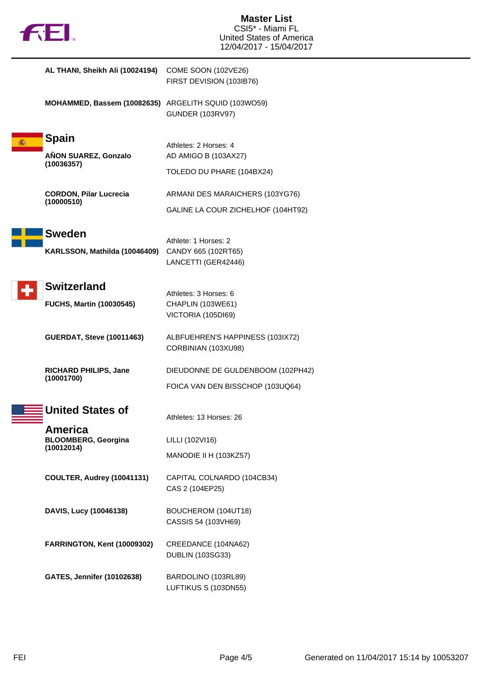

|   | AL THANI, Sheikh Ali (10024194)                      | COME SOON (102VE26)<br>FIRST DEVISION (103IB76)         |
|---|------------------------------------------------------|---------------------------------------------------------|
|   | MOHAMMED, Bassem (10082635) ARGELITH SQUID (103WO59) | <b>GUNDER (103RV97)</b>                                 |
| 滿 | <b>Spain</b>                                         |                                                         |
|   | AÑON SUAREZ, Gonzalo                                 | Athletes: 2 Horses: 4<br>AD AMIGO B (103AX27)           |
|   | (10036357)                                           | TOLEDO DU PHARE (104BX24)                               |
|   | <b>CORDON, Pilar Lucrecia</b>                        | ARMANI DES MARAICHERS (103YG76)                         |
|   | (10000510)                                           | GALINE LA COUR ZICHELHOF (104HT92)                      |
|   | <b>Sweden</b>                                        |                                                         |
|   | KARLSSON, Mathilda (10046409)                        | Athlete: 1 Horses: 2<br>CANDY 665 (102RT65)             |
|   |                                                      | LANCETTI (GER42446)                                     |
|   | <b>Switzerland</b>                                   |                                                         |
|   | <b>FUCHS, Martin (10030545)</b>                      | Athletes: 3 Horses: 6<br>CHAPLIN (103WE61)              |
|   |                                                      | VICTORIA (105DI69)                                      |
|   | <b>GUERDAT, Steve (10011463)</b>                     | ALBFUEHREN'S HAPPINESS (103IX72)<br>CORBINIAN (103XU98) |
|   | RICHARD PHILIPS, Jane                                | DIEUDONNE DE GULDENBOOM (102PH42)                       |
|   | (10001700)                                           | FOICA VAN DEN BISSCHOP (103UQ64)                        |
|   | <b>United States of</b>                              | Athletes: 13 Horses: 26                                 |
|   | <b>America</b><br><b>BLOOMBERG, Georgina</b>         | LILLI (102VI16)                                         |
|   | (10012014)                                           | MANODIE II H (103KZ57)                                  |
|   | COULTER, Audrey (10041131)                           | CAPITAL COLNARDO (104CB34)<br>CAS 2 (104EP25)           |
|   | DAVIS, Lucy (10046138)                               | BOUCHEROM (104UT18)<br>CASSIS 54 (103VH69)              |
|   | FARRINGTON, Kent (10009302)                          | CREEDANCE (104NA62)<br><b>DUBLIN (103SG33)</b>          |
|   | <b>GATES, Jennifer (10102638)</b>                    | BARDOLINO (103RL89)<br>LUFTIKUS S (103DN55)             |
|   |                                                      |                                                         |